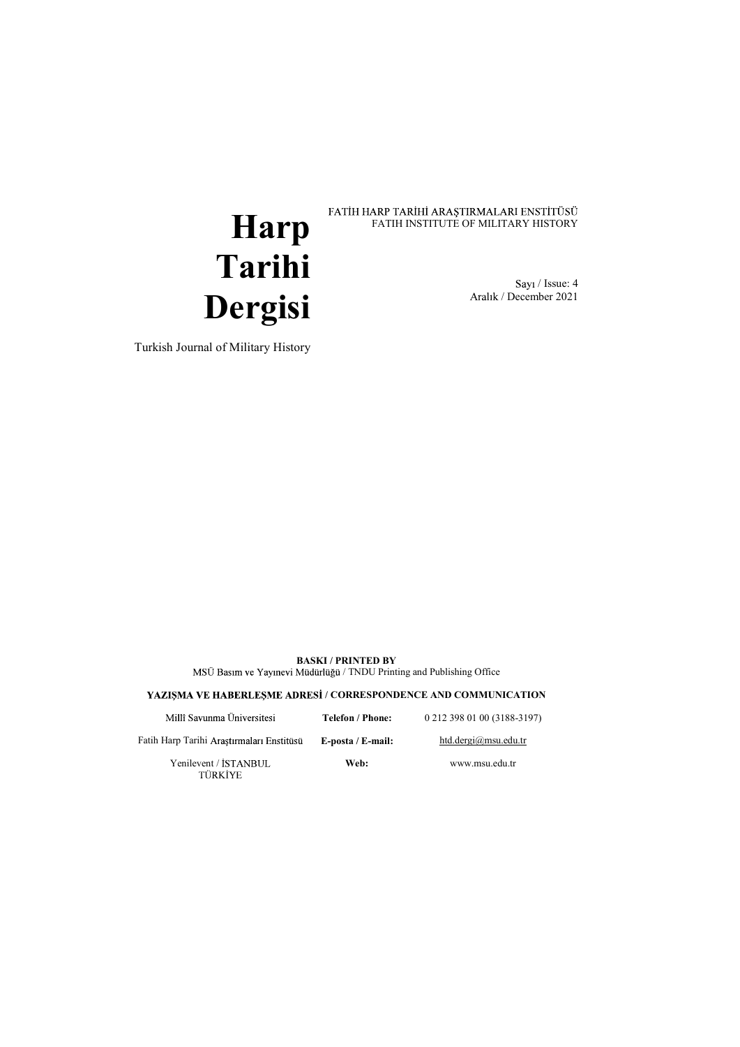# **Harp** FATIH HARP TARIHI ARAŞTIRMALARI ENSTITÜSÜ<br>FATIH INSTITUTE OF MILITARY HISTORY Tarihi FATIH INSTITUTE OF MILITARY HISTORY

 / Issue: 4 / December 2021

Turkish Journal of Military History

Dergisi

BASKI / PRINTED BY MSÜ Basım ve Yayınevi Müdürlüğü / TNDU Printing and Publishing Office

YAZIȘMA VE HABERLEȘME ADRESI / CORRESPONDENCE AND COMMUNICATION

| Millî Savunma Üniversitesi                | Telefon / Phone:  | 0 212 398 01 00 (3188-3197) |  |
|-------------------------------------------|-------------------|-----------------------------|--|
| Fatih Harp Tarihi Arastırmaları Enstitüsü | E-posta / E-mail: | htd.dergi@msu.edu.tr        |  |
| Yenilevent / ISTANBUL<br>________         | Web:              | www.msu.edu.tr              |  |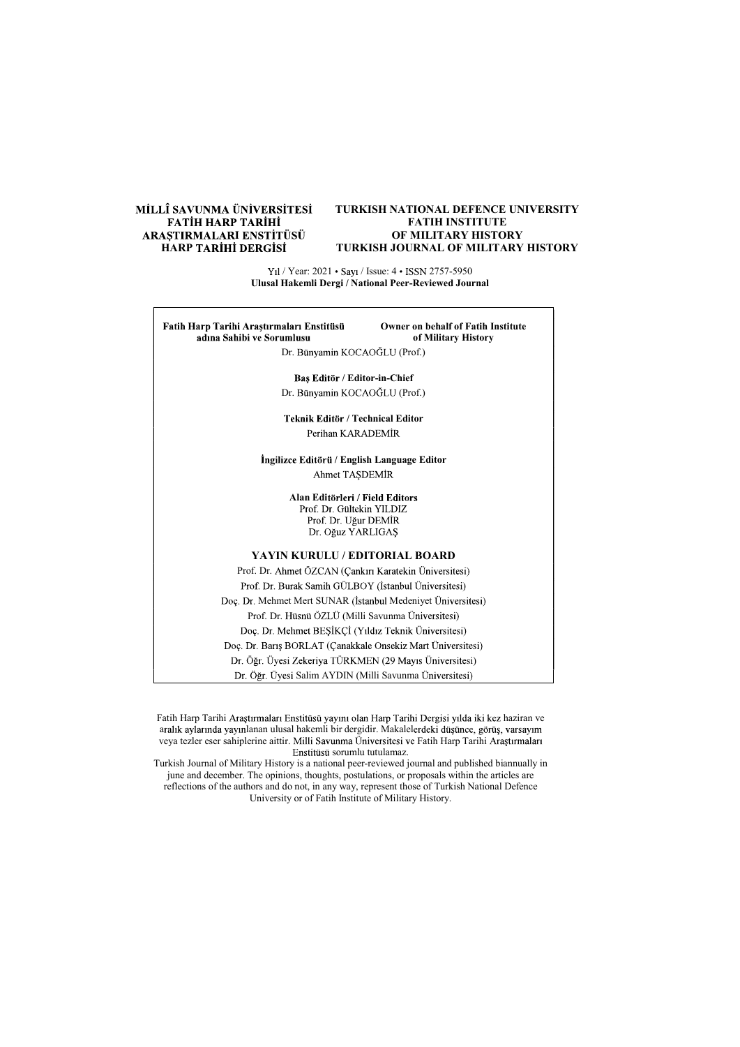# MİLLÎ SAVUNMA ÜNİVERSİTESİ FATİH HARP TARİHİ<br>ARAŞTIRMALARI ENSTİTÜSÜ **HARP TARİHİ DERGİSİ**

#### TURKISH NATIONAL DEFENCE UNIVERSITY FATIH INSTITUTE OF MILITARY HISTORY TURKISH JOURNAL OF MILITARY HISTORY

Yıl / Year: 2021 • Sayı / Issue: 4 • ISSN 2757-5950 Ulusal Hakemli Dergi / National Peer-Reviewed Journal

Owner on behalf of Fatih Institute Fatih Harp Tarihi Araştırmaları Enstitüsü adına Sahibi ve Sorumlusu of Military History Dr. Bünyamin KOCAOĞLU (Prof.) Bas Editör / Editor-in-Chief Dr. Bünyamin KOCAOĞLU (Prof.) Teknik Editör / Technical Editor Perihan KARADEMİR İngilizce Editörü / English Language Editor Ahmet TASDEMİR Alan Editörleri / Field Editors<br>Prof. Dr. Gültekin YILDIZ Prof. Dr. Uğur DEMİR Dr. Oğuz YARLIGAŞ YAYIN KURULU / EDITORIAL BOARD Prof. Dr. Ahmet ÖZCAN (Çankırı Karatekin Üniversitesi) Prof. Dr. Burak Samih GÜLBOY (İstanbul Üniversitesi) Doç. Dr. Mehmet Mert SUNAR (İstanbul Medeniyet Üniversitesi) Prof. Dr. Hüsnü ÖZLÜ (Milli Savunma Üniversitesi) Doç. Dr. Mehmet BEŞİKÇİ (Yıldız Teknik Üniversitesi) Doç. Dr. Barış BORLAT (Çanakkale Onsekiz Mart Üniversitesi) Dr. Öğr. Üyesi Zekeriya TÜRKMEN (29 Mayıs Üniversitesi) Dr. Öğr. Üyesi Salim AYDIN (Milli Savunma Üniversitesi)

Fatih Harp Tarihi Araştırmaları Enstitüsü yayını olan Harp Tarihi Dergisi yılda iki kez haziran ve aralık aylarında yayınlanan ulusal hakemli bir dergidir. Makalelerdeki düsünce, görüs, yarsayım veya tezler eser sahiplerine aittir. Milli Savunma Üniversitesi ve Fatih Harp Tarihi Araştırmaları Enstitüsü sorumlu tutulamaz.

Turkish Journal of Military History is a national peer-reviewed journal and published biannually in june and december. The opinions, thoughts, postulations, or proposals within the articles are reflections of the authors and do not, in any way, represent those of Turkish National Defence University or of Fatih Institute of Military History.